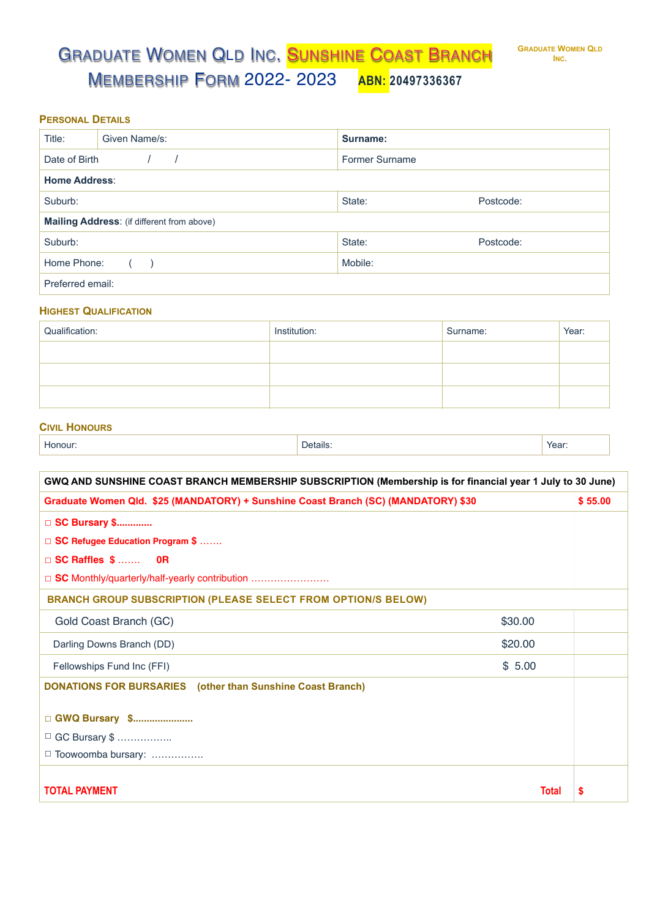**PERSONAL DETAILS**

| Title:                                     | Given Name/s: | Surname:       |           |
|--------------------------------------------|---------------|----------------|-----------|
| Date of Birth                              |               | Former Surname |           |
| <b>Home Address:</b>                       |               |                |           |
| Suburb:                                    |               | State:         | Postcode: |
| Mailing Address: (if different from above) |               |                |           |
| Suburb:                                    |               | State:         | Postcode: |
| Home Phone:                                |               | Mobile:        |           |
| Preferred email:                           |               |                |           |

## **HIGHEST QUALIFICATION**

| Qualification: | Institution: | Surname: | Year: |
|----------------|--------------|----------|-------|
|                |              |          |       |
|                |              |          |       |
|                |              |          |       |

## **CIVIL HONOURS**

| Honour: | Details: | Year: |
|---------|----------|-------|
|---------|----------|-------|

| GWQ AND SUNSHINE COAST BRANCH MEMBERSHIP SUBSCRIPTION (Membership is for financial year 1 July to 30 June) |              |         |  |
|------------------------------------------------------------------------------------------------------------|--------------|---------|--|
| Graduate Women Qld. \$25 (MANDATORY) + Sunshine Coast Branch (SC) (MANDATORY) \$30                         |              | \$55.00 |  |
| □ SC Bursary \$                                                                                            |              |         |  |
| □ SC Refugee Education Program \$                                                                          |              |         |  |
| $\Box$ SC Raffles $$ \dots$ OR                                                                             |              |         |  |
| □ SC Monthly/quarterly/half-yearly contribution                                                            |              |         |  |
| <b>BRANCH GROUP SUBSCRIPTION (PLEASE SELECT FROM OPTION/S BELOW)</b>                                       |              |         |  |
| Gold Coast Branch (GC)                                                                                     | \$30.00      |         |  |
| Darling Downs Branch (DD)                                                                                  | \$20.00      |         |  |
| Fellowships Fund Inc (FFI)                                                                                 | \$5.00       |         |  |
| <b>DONATIONS FOR BURSARIES</b> (other than Sunshine Coast Branch)                                          |              |         |  |
| □ GWQ Bursary \$<br>□ GC Bursary \$                                                                        |              |         |  |
| □ Toowoomba bursary:                                                                                       |              |         |  |
|                                                                                                            |              |         |  |
| <b>TOTAL PAYMENT</b>                                                                                       | <b>Total</b> | 5       |  |